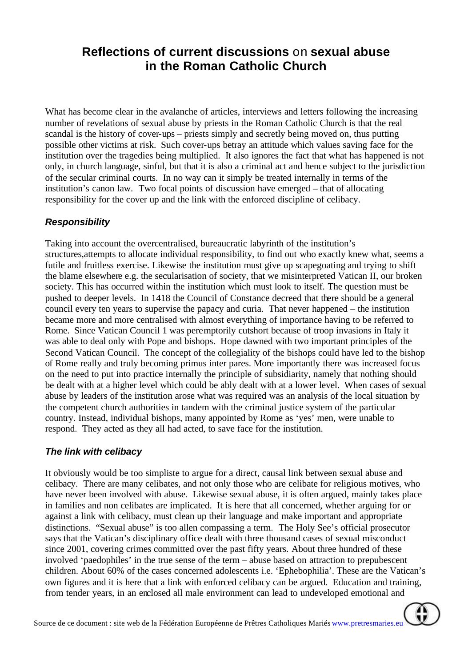## **Reflections of current discussions** on **sexual abuse in the Roman Catholic Church**

What has become clear in the avalanche of articles, interviews and letters following the increasing number of revelations of sexual abuse by priests in the Roman Catholic Church is that the real scandal is the history of cover-ups – priests simply and secretly being moved on, thus putting possible other victims at risk. Such cover-ups betray an attitude which values saving face for the institution over the tragedies being multiplied. It also ignores the fact that what has happened is not only, in church language, sinful, but that it is also a criminal act and hence subject to the jurisdiction of the secular criminal courts. In no way can it simply be treated internally in terms of the institution's canon law. Two focal points of discussion have emerged – that of allocating responsibility for the cover up and the link with the enforced discipline of celibacy.

## *Responsibility*

Taking into account the overcentralised, bureaucratic labyrinth of the institution's structures,attempts to allocate individual responsibility, to find out who exactly knew what, seems a futile and fruitless exercise. Likewise the institution must give up scapegoating and trying to shift the blame elsewhere e.g. the secularisation of society, that we misinterpreted Vatican II, our broken society. This has occurred within the institution which must look to itself. The question must be pushed to deeper levels. In 1418 the Council of Constance decreed that there should be a general council every ten years to supervise the papacy and curia. That never happened – the institution became more and more centralised with almost everything of importance having to be referred to Rome. Since Vatican Council 1 was peremptorily cutshort because of troop invasions in Italy it was able to deal only with Pope and bishops. Hope dawned with two important principles of the Second Vatican Council. The concept of the collegiality of the bishops could have led to the bishop of Rome really and truly becoming primus inter pares. More importantly there was increased focus on the need to put into practice internally the principle of subsidiarity, namely that nothing should be dealt with at a higher level which could be ably dealt with at a lower level. When cases of sexual abuse by leaders of the institution arose what was required was an analysis of the local situation by the competent church authorities in tandem with the criminal justice system of the particular country. Instead, individual bishops, many appointed by Rome as 'yes' men, were unable to respond. They acted as they all had acted, to save face for the institution.

## *The link with celibacy*

It obviously would be too simpliste to argue for a direct, causal link between sexual abuse and celibacy. There are many celibates, and not only those who are celibate for religious motives, who have never been involved with abuse. Likewise sexual abuse, it is often argued, mainly takes place in families and non celibates are implicated. It is here that all concerned, whether arguing for or against a link with celibacy, must clean up their language and make important and appropriate distinctions. "Sexual abuse" is too allen compassing a term. The Holy See's official prosecutor says that the Vatican's disciplinary office dealt with three thousand cases of sexual misconduct since 2001, covering crimes committed over the past fifty years. About three hundred of these involved 'paedophiles' in the true sense of the term – abuse based on attraction to prepubescent children. About 60% of the cases concerned adolescents i.e. 'Ephebophilia'. These are the Vatican's own figures and it is here that a link with enforced celibacy can be argued. Education and training, from tender years, in an enclosed all male environment can lead to undeveloped emotional and

Æ

Source de ce document : site web de la Fédération Européenne de Prêtres Catholiques Mariés www.pretresmaries.eu